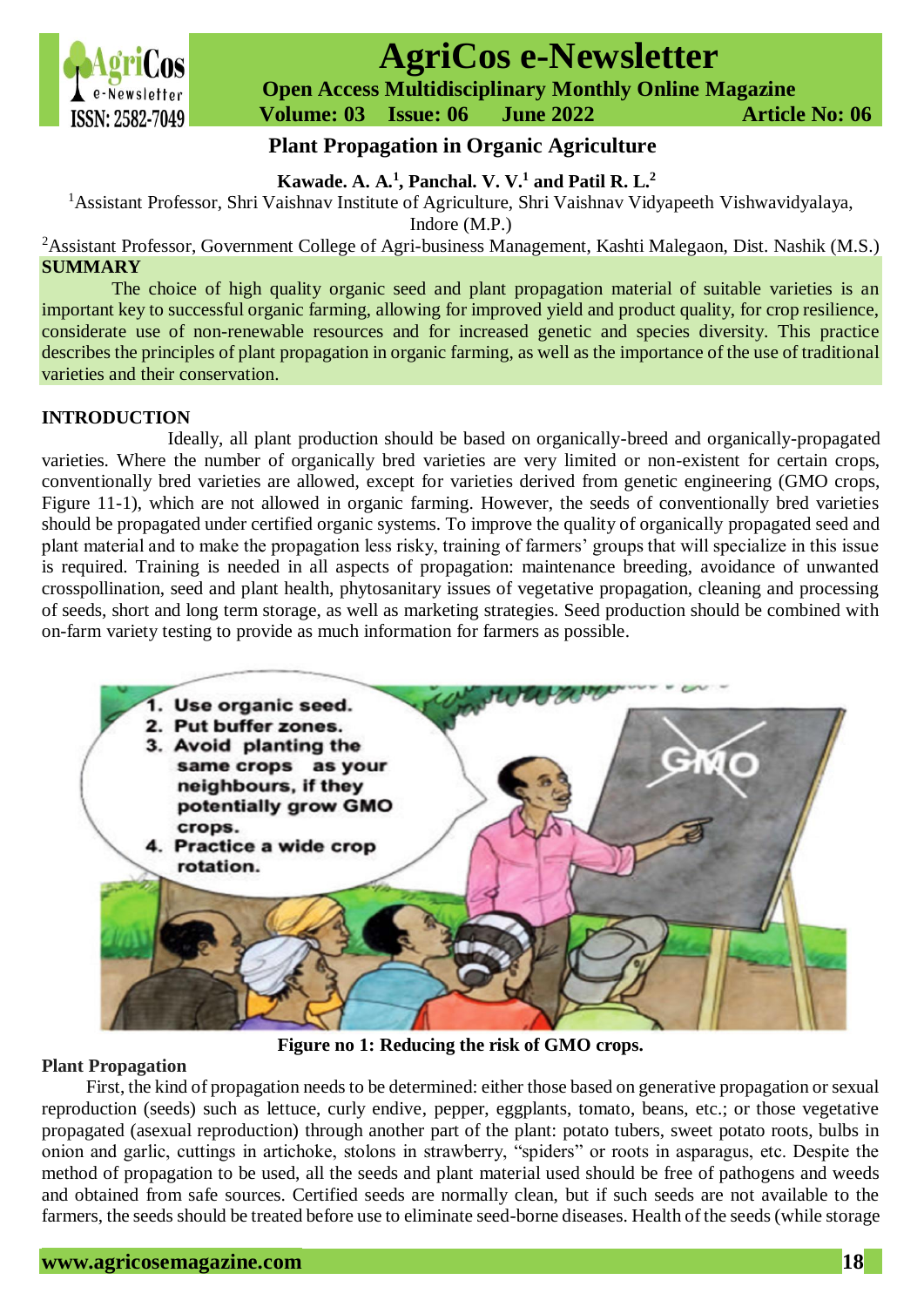

# **AgriCos e-Newsletter**

 **Open Access Multidisciplinary Monthly Online Magazine**

 **Volume: 03 Issue: 06 June 2022 Article No: 06**

# **Plant Propagation in Organic Agriculture**

## **Kawade. A. A.<sup>1</sup> , Panchal. V. V.<sup>1</sup> and Patil R. L.<sup>2</sup>**

<sup>1</sup>Assistant Professor, Shri Vaishnav Institute of Agriculture, Shri Vaishnav Vidyapeeth Vishwavidyalaya,

Indore (M.P.)

<sup>2</sup>Assistant Professor, Government College of Agri-business Management, Kashti Malegaon, Dist. Nashik (M.S.) **SUMMARY**

The choice of high quality organic seed and plant propagation material of suitable varieties is an important key to successful organic farming, allowing for improved yield and product quality, for crop resilience, considerate use of non-renewable resources and for increased genetic and species diversity. This practice describes the principles of plant propagation in organic farming, as well as the importance of the use of traditional varieties and their conservation.

## **INTRODUCTION**

Ideally, all plant production should be based on organically-breed and organically-propagated varieties. Where the number of organically bred varieties are very limited or non-existent for certain crops, conventionally bred varieties are allowed, except for varieties derived from genetic engineering (GMO crops, Figure 11-1), which are not allowed in organic farming. However, the seeds of conventionally bred varieties should be propagated under certified organic systems. To improve the quality of organically propagated seed and plant material and to make the propagation less risky, training of farmers' groups that will specialize in this issue is required. Training is needed in all aspects of propagation: maintenance breeding, avoidance of unwanted crosspollination, seed and plant health, phytosanitary issues of vegetative propagation, cleaning and processing of seeds, short and long term storage, as well as marketing strategies. Seed production should be combined with on-farm variety testing to provide as much information for farmers as possible.



**Figure no 1: Reducing the risk of GMO crops.**

## **Plant Propagation**

First, the kind of propagation needs to be determined: either those based on generative propagation or sexual reproduction (seeds) such as lettuce, curly endive, pepper, eggplants, tomato, beans, etc.; or those vegetative propagated (asexual reproduction) through another part of the plant: potato tubers, sweet potato roots, bulbs in onion and garlic, cuttings in artichoke, stolons in strawberry, "spiders" or roots in asparagus, etc. Despite the method of propagation to be used, all the seeds and plant material used should be free of pathogens and weeds and obtained from safe sources. Certified seeds are normally clean, but if such seeds are not available to the farmers, the seeds should be treated before use to eliminate seed-borne diseases. Health of the seeds (while storage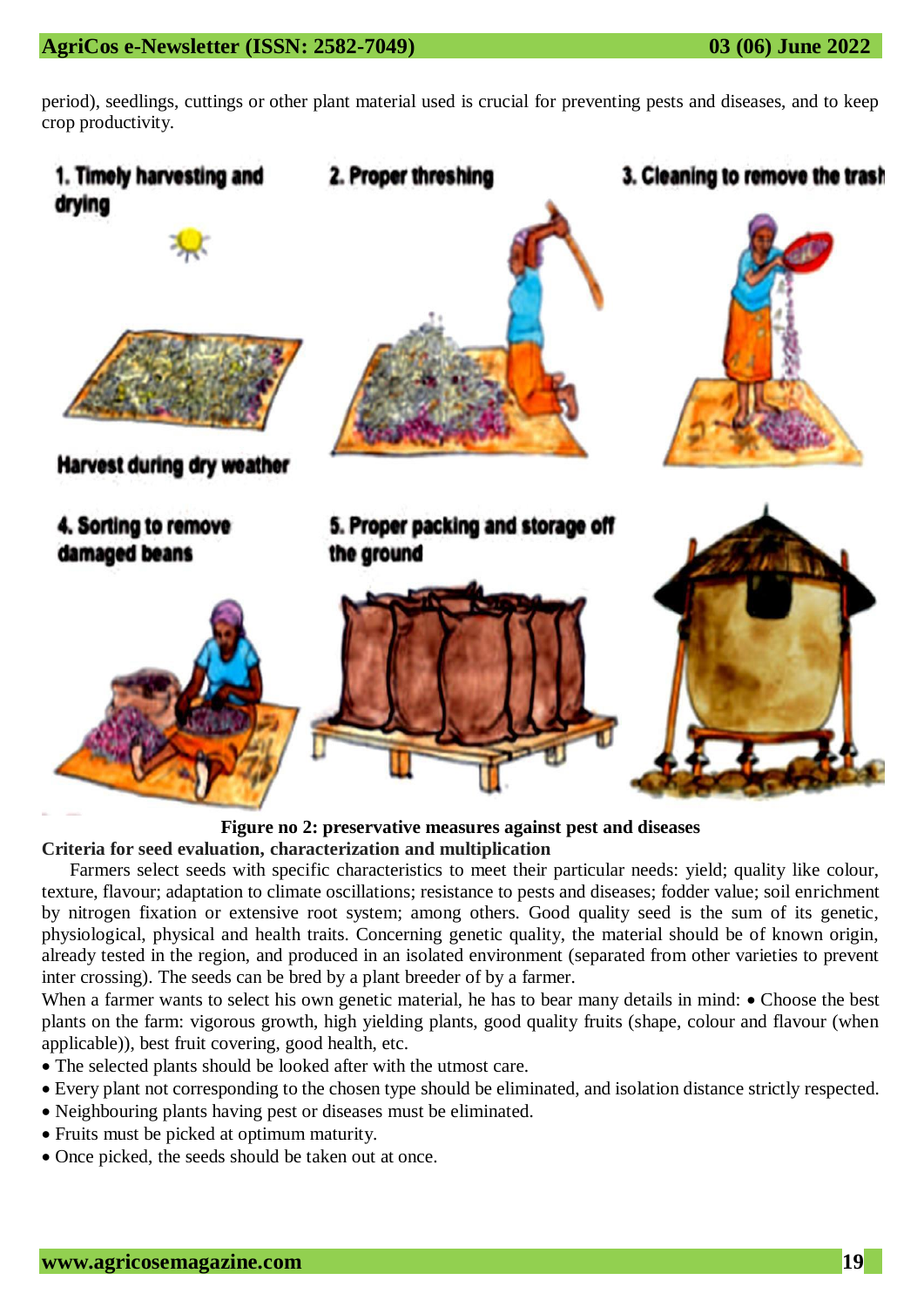period), seedlings, cuttings or other plant material used is crucial for preventing pests and diseases, and to keep crop productivity.



**Figure no 2: preservative measures against pest and diseases**

**Criteria for seed evaluation, characterization and multiplication**

Farmers select seeds with specific characteristics to meet their particular needs: yield; quality like colour, texture, flavour; adaptation to climate oscillations; resistance to pests and diseases; fodder value; soil enrichment by nitrogen fixation or extensive root system; among others. Good quality seed is the sum of its genetic, physiological, physical and health traits. Concerning genetic quality, the material should be of known origin, already tested in the region, and produced in an isolated environment (separated from other varieties to prevent inter crossing). The seeds can be bred by a plant breeder of by a farmer.

When a farmer wants to select his own genetic material, he has to bear many details in mind:  $\bullet$  Choose the best plants on the farm: vigorous growth, high yielding plants, good quality fruits (shape, colour and flavour (when applicable)), best fruit covering, good health, etc.

- The selected plants should be looked after with the utmost care.
- Every plant not corresponding to the chosen type should be eliminated, and isolation distance strictly respected.
- Neighbouring plants having pest or diseases must be eliminated.
- Fruits must be picked at optimum maturity.
- Once picked, the seeds should be taken out at once.